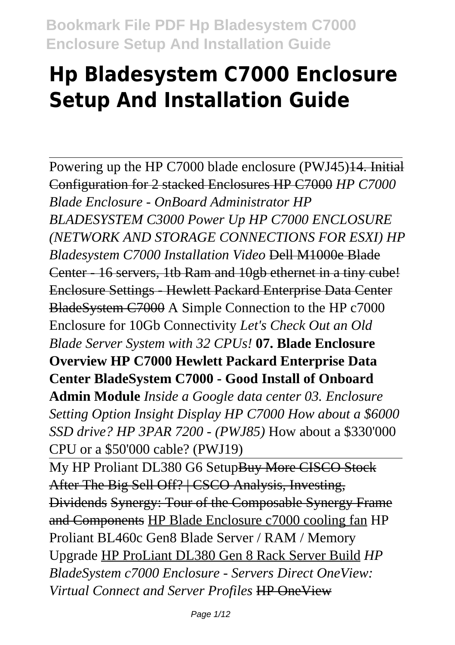# **Hp Bladesystem C7000 Enclosure Setup And Installation Guide**

Powering up the HP C7000 blade enclosure (PWJ45)<del>14. Initial</del> Configuration for 2 stacked Enclosures HP C7000 *HP C7000 Blade Enclosure - OnBoard Administrator HP BLADESYSTEM C3000 Power Up HP C7000 ENCLOSURE (NETWORK AND STORAGE CONNECTIONS FOR ESXI) HP Bladesystem C7000 Installation Video* Dell M1000e Blade Center - 16 servers, 1tb Ram and 10gb ethernet in a tiny cube! Enclosure Settings - Hewlett Packard Enterprise Data Center BladeSystem C7000 A Simple Connection to the HP c7000 Enclosure for 10Gb Connectivity *Let's Check Out an Old Blade Server System with 32 CPUs!* **07. Blade Enclosure Overview HP C7000 Hewlett Packard Enterprise Data Center BladeSystem C7000 - Good Install of Onboard Admin Module** *Inside a Google data center 03. Enclosure Setting Option Insight Display HP C7000 How about a \$6000 SSD drive? HP 3PAR 7200 - (PWJ85)* How about a \$330'000 CPU or a \$50'000 cable? (PWJ19)

My HP Proliant DL380 G6 SetupBuy More CISCO Stock After The Big Sell Off? | CSCO Analysis, Investing, Dividends Synergy: Tour of the Composable Synergy Frame and Components HP Blade Enclosure c7000 cooling fan HP Proliant BL460c Gen8 Blade Server / RAM / Memory Upgrade HP ProLiant DL380 Gen 8 Rack Server Build *HP BladeSystem c7000 Enclosure - Servers Direct OneView: Virtual Connect and Server Profiles* HP OneView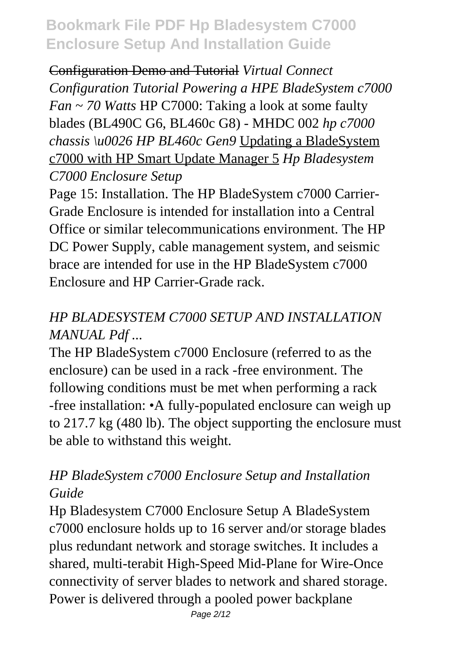Configuration Demo and Tutorial *Virtual Connect Configuration Tutorial Powering a HPE BladeSystem c7000 Fan ~ 70 Watts* HP C7000: Taking a look at some faulty blades (BL490C G6, BL460c G8) - MHDC 002 *hp c7000 chassis \u0026 HP BL460c Gen9* Updating a BladeSystem c7000 with HP Smart Update Manager 5 *Hp Bladesystem C7000 Enclosure Setup*

Page 15: Installation. The HP BladeSystem c7000 Carrier-Grade Enclosure is intended for installation into a Central Office or similar telecommunications environment. The HP DC Power Supply, cable management system, and seismic brace are intended for use in the HP BladeSystem c7000 Enclosure and HP Carrier-Grade rack.

## *HP BLADESYSTEM C7000 SETUP AND INSTALLATION MANUAL Pdf ...*

The HP BladeSystem c7000 Enclosure (referred to as the enclosure) can be used in a rack -free environment. The following conditions must be met when performing a rack -free installation: •A fully-populated enclosure can weigh up to 217.7 kg (480 lb). The object supporting the enclosure must be able to withstand this weight.

## *HP BladeSystem c7000 Enclosure Setup and Installation Guide*

Hp Bladesystem C7000 Enclosure Setup A BladeSystem c7000 enclosure holds up to 16 server and/or storage blades plus redundant network and storage switches. It includes a shared, multi-terabit High-Speed Mid-Plane for Wire-Once connectivity of server blades to network and shared storage. Power is delivered through a pooled power backplane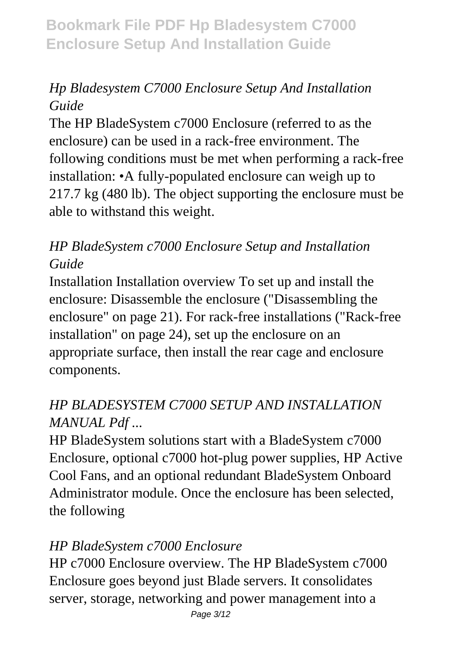## *Hp Bladesystem C7000 Enclosure Setup And Installation Guide*

The HP BladeSystem c7000 Enclosure (referred to as the enclosure) can be used in a rack-free environment. The following conditions must be met when performing a rack-free installation: •A fully-populated enclosure can weigh up to 217.7 kg (480 lb). The object supporting the enclosure must be able to withstand this weight.

## *HP BladeSystem c7000 Enclosure Setup and Installation Guide*

Installation Installation overview To set up and install the enclosure: Disassemble the enclosure ("Disassembling the enclosure" on page 21). For rack-free installations ("Rack-free installation" on page 24), set up the enclosure on an appropriate surface, then install the rear cage and enclosure components.

## *HP BLADESYSTEM C7000 SETUP AND INSTALLATION MANUAL Pdf ...*

HP BladeSystem solutions start with a BladeSystem c7000 Enclosure, optional c7000 hot-plug power supplies, HP Active Cool Fans, and an optional redundant BladeSystem Onboard Administrator module. Once the enclosure has been selected, the following

## *HP BladeSystem c7000 Enclosure*

HP c7000 Enclosure overview. The HP BladeSystem c7000 Enclosure goes beyond just Blade servers. It consolidates server, storage, networking and power management into a Page 3/12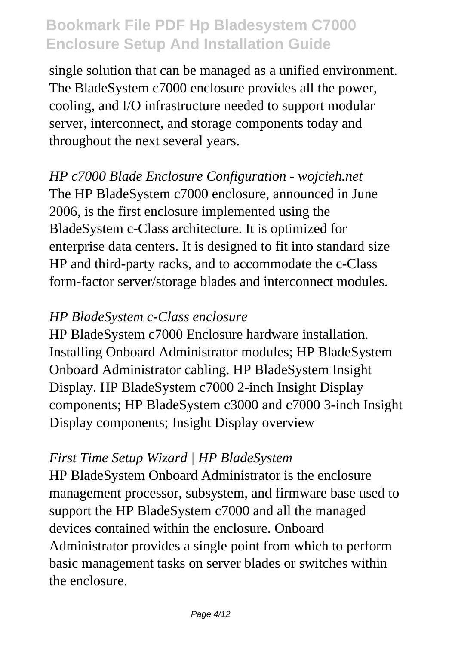single solution that can be managed as a unified environment. The BladeSystem c7000 enclosure provides all the power, cooling, and I/O infrastructure needed to support modular server, interconnect, and storage components today and throughout the next several years.

*HP c7000 Blade Enclosure Configuration - wojcieh.net* The HP BladeSystem c7000 enclosure, announced in June 2006, is the first enclosure implemented using the BladeSystem c-Class architecture. It is optimized for enterprise data centers. It is designed to fit into standard size HP and third-party racks, and to accommodate the c-Class form-factor server/storage blades and interconnect modules.

#### *HP BladeSystem c-Class enclosure*

HP BladeSystem c7000 Enclosure hardware installation. Installing Onboard Administrator modules; HP BladeSystem Onboard Administrator cabling. HP BladeSystem Insight Display. HP BladeSystem c7000 2-inch Insight Display components; HP BladeSystem c3000 and c7000 3-inch Insight Display components; Insight Display overview

#### *First Time Setup Wizard | HP BladeSystem*

HP BladeSystem Onboard Administrator is the enclosure management processor, subsystem, and firmware base used to support the HP BladeSystem c7000 and all the managed devices contained within the enclosure. Onboard Administrator provides a single point from which to perform basic management tasks on server blades or switches within the enclosure.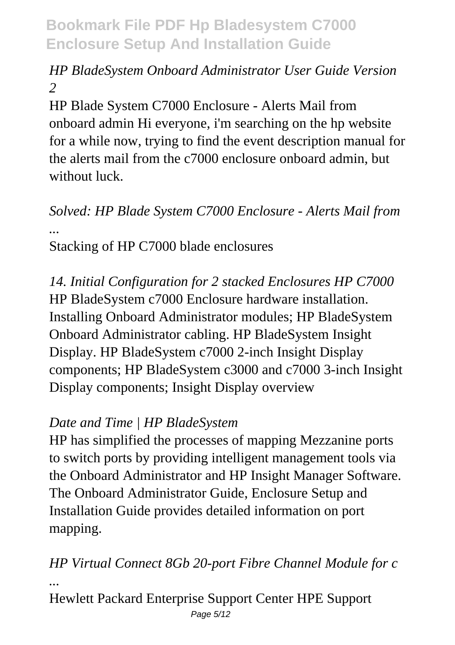## *HP BladeSystem Onboard Administrator User Guide Version 2*

HP Blade System C7000 Enclosure - Alerts Mail from onboard admin Hi everyone, i'm searching on the hp website for a while now, trying to find the event description manual for the alerts mail from the c7000 enclosure onboard admin, but without luck

#### *Solved: HP Blade System C7000 Enclosure - Alerts Mail from ...* Stacking of HP C7000 blade enclosures

*14. Initial Configuration for 2 stacked Enclosures HP C7000* HP BladeSystem c7000 Enclosure hardware installation. Installing Onboard Administrator modules; HP BladeSystem Onboard Administrator cabling. HP BladeSystem Insight Display. HP BladeSystem c7000 2-inch Insight Display components; HP BladeSystem c3000 and c7000 3-inch Insight Display components; Insight Display overview

## *Date and Time | HP BladeSystem*

HP has simplified the processes of mapping Mezzanine ports to switch ports by providing intelligent management tools via the Onboard Administrator and HP Insight Manager Software. The Onboard Administrator Guide, Enclosure Setup and Installation Guide provides detailed information on port mapping.

*HP Virtual Connect 8Gb 20-port Fibre Channel Module for c ...*

Hewlett Packard Enterprise Support Center HPE Support Page  $5/12$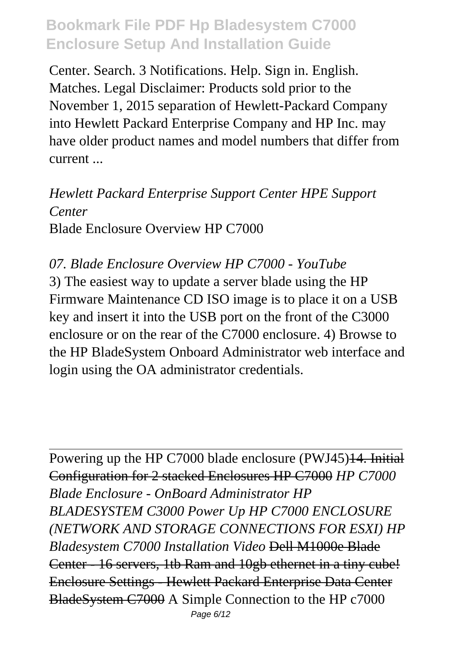Center. Search. 3 Notifications. Help. Sign in. English. Matches. Legal Disclaimer: Products sold prior to the November 1, 2015 separation of Hewlett-Packard Company into Hewlett Packard Enterprise Company and HP Inc. may have older product names and model numbers that differ from current ...

*Hewlett Packard Enterprise Support Center HPE Support Center* Blade Enclosure Overview HP C7000

*07. Blade Enclosure Overview HP C7000 - YouTube* 3) The easiest way to update a server blade using the HP Firmware Maintenance CD ISO image is to place it on a USB key and insert it into the USB port on the front of the C3000 enclosure or on the rear of the C7000 enclosure. 4) Browse to the HP BladeSystem Onboard Administrator web interface and login using the OA administrator credentials.

Powering up the HP C7000 blade enclosure (PWJ45)<del>14. Initial</del> Configuration for 2 stacked Enclosures HP C7000 *HP C7000 Blade Enclosure - OnBoard Administrator HP BLADESYSTEM C3000 Power Up HP C7000 ENCLOSURE (NETWORK AND STORAGE CONNECTIONS FOR ESXI) HP Bladesystem C7000 Installation Video* Dell M1000e Blade Center - 16 servers, 1tb Ram and 10gb ethernet in a tiny cube! Enclosure Settings - Hewlett Packard Enterprise Data Center BladeSystem C7000 A Simple Connection to the HP c7000 Page 6/12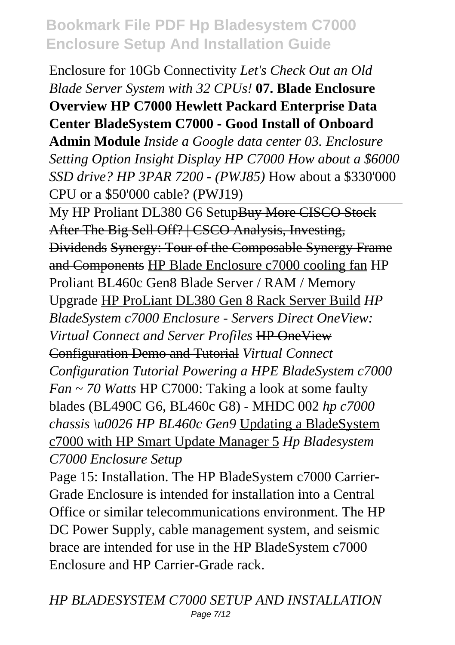Enclosure for 10Gb Connectivity *Let's Check Out an Old Blade Server System with 32 CPUs!* **07. Blade Enclosure Overview HP C7000 Hewlett Packard Enterprise Data Center BladeSystem C7000 - Good Install of Onboard**

**Admin Module** *Inside a Google data center 03. Enclosure Setting Option Insight Display HP C7000 How about a \$6000 SSD drive? HP 3PAR 7200 - (PWJ85)* How about a \$330'000 CPU or a \$50'000 cable? (PWJ19)

My HP Proliant DL380 G6 SetupBuy More CISCO Stock After The Big Sell Off? | CSCO Analysis, Investing, Dividends Synergy: Tour of the Composable Synergy Frame and Components HP Blade Enclosure c7000 cooling fan HP Proliant BL460c Gen8 Blade Server / RAM / Memory Upgrade HP ProLiant DL380 Gen 8 Rack Server Build *HP BladeSystem c7000 Enclosure - Servers Direct OneView: Virtual Connect and Server Profiles* HP OneView Configuration Demo and Tutorial *Virtual Connect Configuration Tutorial Powering a HPE BladeSystem c7000 Fan ~ 70 Watts* HP C7000: Taking a look at some faulty blades (BL490C G6, BL460c G8) - MHDC 002 *hp c7000 chassis \u0026 HP BL460c Gen9* Updating a BladeSystem c7000 with HP Smart Update Manager 5 *Hp Bladesystem C7000 Enclosure Setup*

Page 15: Installation. The HP BladeSystem c7000 Carrier-Grade Enclosure is intended for installation into a Central Office or similar telecommunications environment. The HP DC Power Supply, cable management system, and seismic brace are intended for use in the HP BladeSystem c7000 Enclosure and HP Carrier-Grade rack.

*HP BLADESYSTEM C7000 SETUP AND INSTALLATION* Page 7/12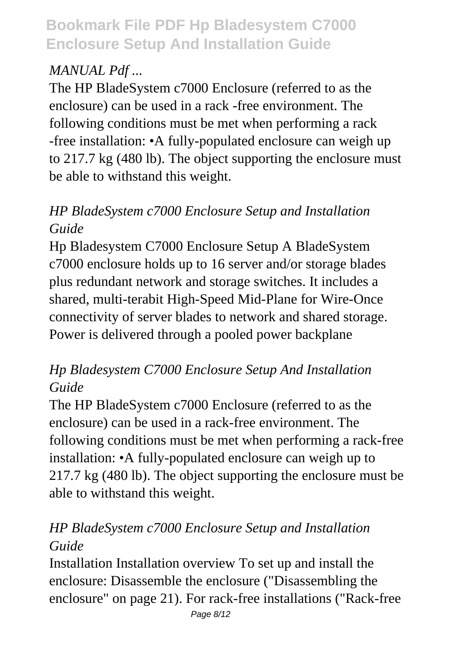## *MANUAL Pdf ...*

The HP BladeSystem c7000 Enclosure (referred to as the enclosure) can be used in a rack -free environment. The following conditions must be met when performing a rack -free installation: •A fully-populated enclosure can weigh up to 217.7 kg (480 lb). The object supporting the enclosure must be able to withstand this weight.

## *HP BladeSystem c7000 Enclosure Setup and Installation Guide*

Hp Bladesystem C7000 Enclosure Setup A BladeSystem c7000 enclosure holds up to 16 server and/or storage blades plus redundant network and storage switches. It includes a shared, multi-terabit High-Speed Mid-Plane for Wire-Once connectivity of server blades to network and shared storage. Power is delivered through a pooled power backplane

#### *Hp Bladesystem C7000 Enclosure Setup And Installation Guide*

The HP BladeSystem c7000 Enclosure (referred to as the enclosure) can be used in a rack-free environment. The following conditions must be met when performing a rack-free installation: •A fully-populated enclosure can weigh up to 217.7 kg (480 lb). The object supporting the enclosure must be able to withstand this weight.

## *HP BladeSystem c7000 Enclosure Setup and Installation Guide*

Installation Installation overview To set up and install the enclosure: Disassemble the enclosure ("Disassembling the enclosure" on page 21). For rack-free installations ("Rack-free Page 8/12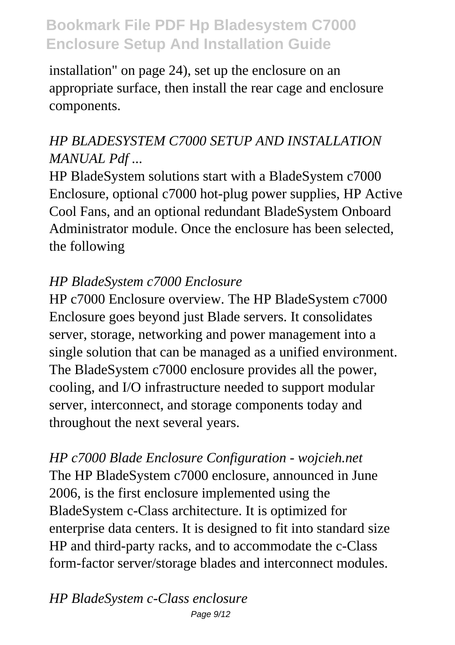installation" on page 24), set up the enclosure on an appropriate surface, then install the rear cage and enclosure components.

## *HP BLADESYSTEM C7000 SETUP AND INSTALLATION MANUAL Pdf ...*

HP BladeSystem solutions start with a BladeSystem c7000 Enclosure, optional c7000 hot-plug power supplies, HP Active Cool Fans, and an optional redundant BladeSystem Onboard Administrator module. Once the enclosure has been selected, the following

#### *HP BladeSystem c7000 Enclosure*

HP c7000 Enclosure overview. The HP BladeSystem c7000 Enclosure goes beyond just Blade servers. It consolidates server, storage, networking and power management into a single solution that can be managed as a unified environment. The BladeSystem c7000 enclosure provides all the power, cooling, and I/O infrastructure needed to support modular server, interconnect, and storage components today and throughout the next several years.

*HP c7000 Blade Enclosure Configuration - wojcieh.net* The HP BladeSystem c7000 enclosure, announced in June 2006, is the first enclosure implemented using the BladeSystem c-Class architecture. It is optimized for enterprise data centers. It is designed to fit into standard size HP and third-party racks, and to accommodate the c-Class form-factor server/storage blades and interconnect modules.

*HP BladeSystem c-Class enclosure* Page 9/12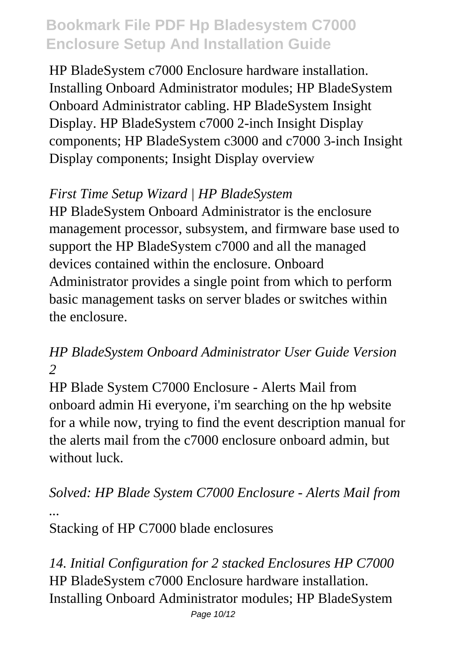HP BladeSystem c7000 Enclosure hardware installation. Installing Onboard Administrator modules; HP BladeSystem Onboard Administrator cabling. HP BladeSystem Insight Display. HP BladeSystem c7000 2-inch Insight Display components; HP BladeSystem c3000 and c7000 3-inch Insight Display components; Insight Display overview

## *First Time Setup Wizard | HP BladeSystem*

HP BladeSystem Onboard Administrator is the enclosure management processor, subsystem, and firmware base used to support the HP BladeSystem c7000 and all the managed devices contained within the enclosure. Onboard Administrator provides a single point from which to perform basic management tasks on server blades or switches within the enclosure.

#### *HP BladeSystem Onboard Administrator User Guide Version 2*

HP Blade System C7000 Enclosure - Alerts Mail from onboard admin Hi everyone, i'm searching on the hp website for a while now, trying to find the event description manual for the alerts mail from the c7000 enclosure onboard admin, but without luck.

# *Solved: HP Blade System C7000 Enclosure - Alerts Mail from ...*

Stacking of HP C7000 blade enclosures

*14. Initial Configuration for 2 stacked Enclosures HP C7000* HP BladeSystem c7000 Enclosure hardware installation. Installing Onboard Administrator modules; HP BladeSystem Page 10/12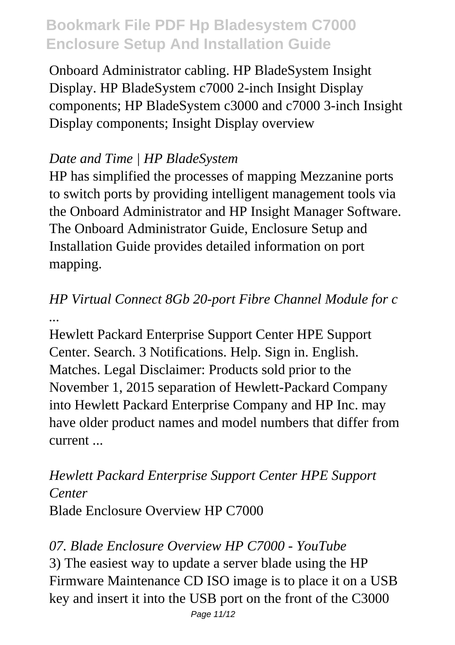Onboard Administrator cabling. HP BladeSystem Insight Display. HP BladeSystem c7000 2-inch Insight Display components; HP BladeSystem c3000 and c7000 3-inch Insight Display components; Insight Display overview

#### *Date and Time | HP BladeSystem*

HP has simplified the processes of mapping Mezzanine ports to switch ports by providing intelligent management tools via the Onboard Administrator and HP Insight Manager Software. The Onboard Administrator Guide, Enclosure Setup and Installation Guide provides detailed information on port mapping.

## *HP Virtual Connect 8Gb 20-port Fibre Channel Module for c ...*

Hewlett Packard Enterprise Support Center HPE Support Center. Search. 3 Notifications. Help. Sign in. English. Matches. Legal Disclaimer: Products sold prior to the November 1, 2015 separation of Hewlett-Packard Company into Hewlett Packard Enterprise Company and HP Inc. may have older product names and model numbers that differ from current ...

#### *Hewlett Packard Enterprise Support Center HPE Support Center* Blade Enclosure Overview HP C7000

*07. Blade Enclosure Overview HP C7000 - YouTube* 3) The easiest way to update a server blade using the HP Firmware Maintenance CD ISO image is to place it on a USB key and insert it into the USB port on the front of the C3000